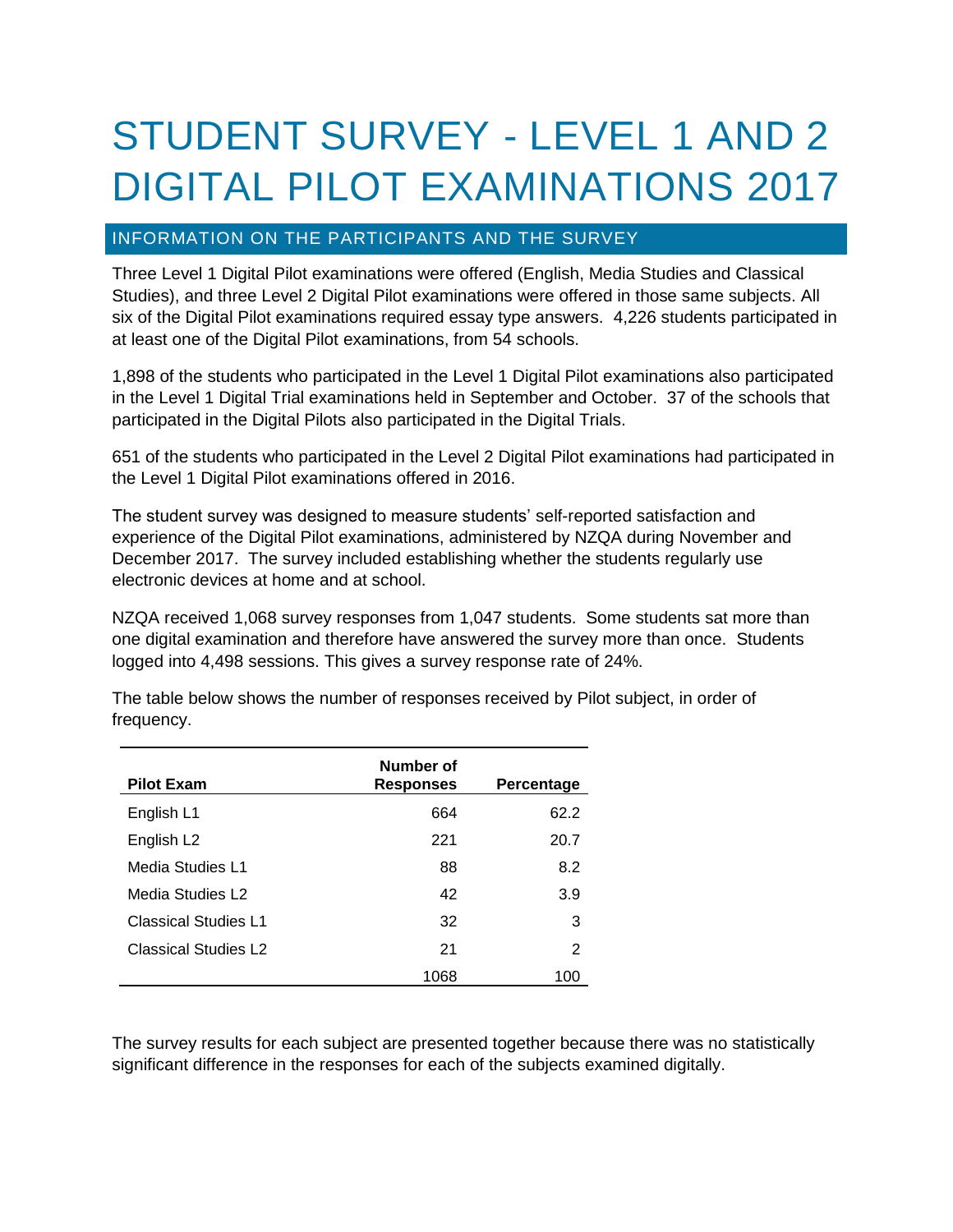# STUDENT SURVEY - LEVEL 1 AND 2 DIGITAL PILOT EXAMINATIONS 2017

# INFORMATION ON THE PARTICIPANTS AND THE SURVEY

Three Level 1 Digital Pilot examinations were offered (English, Media Studies and Classical Studies), and three Level 2 Digital Pilot examinations were offered in those same subjects. All six of the Digital Pilot examinations required essay type answers. 4,226 students participated in at least one of the Digital Pilot examinations, from 54 schools.

1,898 of the students who participated in the Level 1 Digital Pilot examinations also participated in the Level 1 Digital Trial examinations held in September and October. 37 of the schools that participated in the Digital Pilots also participated in the Digital Trials.

651 of the students who participated in the Level 2 Digital Pilot examinations had participated in the Level 1 Digital Pilot examinations offered in 2016.

The student survey was designed to measure students' self-reported satisfaction and experience of the Digital Pilot examinations, administered by NZQA during November and December 2017. The survey included establishing whether the students regularly use electronic devices at home and at school.

NZQA received 1,068 survey responses from 1,047 students. Some students sat more than one digital examination and therefore have answered the survey more than once. Students logged into 4,498 sessions. This gives a survey response rate of 24%.

| <b>Pilot Exam</b>      | Number of<br><b>Responses</b> | Percentage |
|------------------------|-------------------------------|------------|
| English L1             | 664                           | 62.2       |
| English L <sub>2</sub> | 221                           | 20.7       |
| Media Studies L1       | 88                            | 8.2        |
| Media Studies L2       | 42                            | 3.9        |
| Classical Studies L1   | 32                            | 3          |
| Classical Studies L2   | 21                            | 2          |
|                        | 1068                          | 100        |

The table below shows the number of responses received by Pilot subject, in order of frequency.

The survey results for each subject are presented together because there was no statistically significant difference in the responses for each of the subjects examined digitally.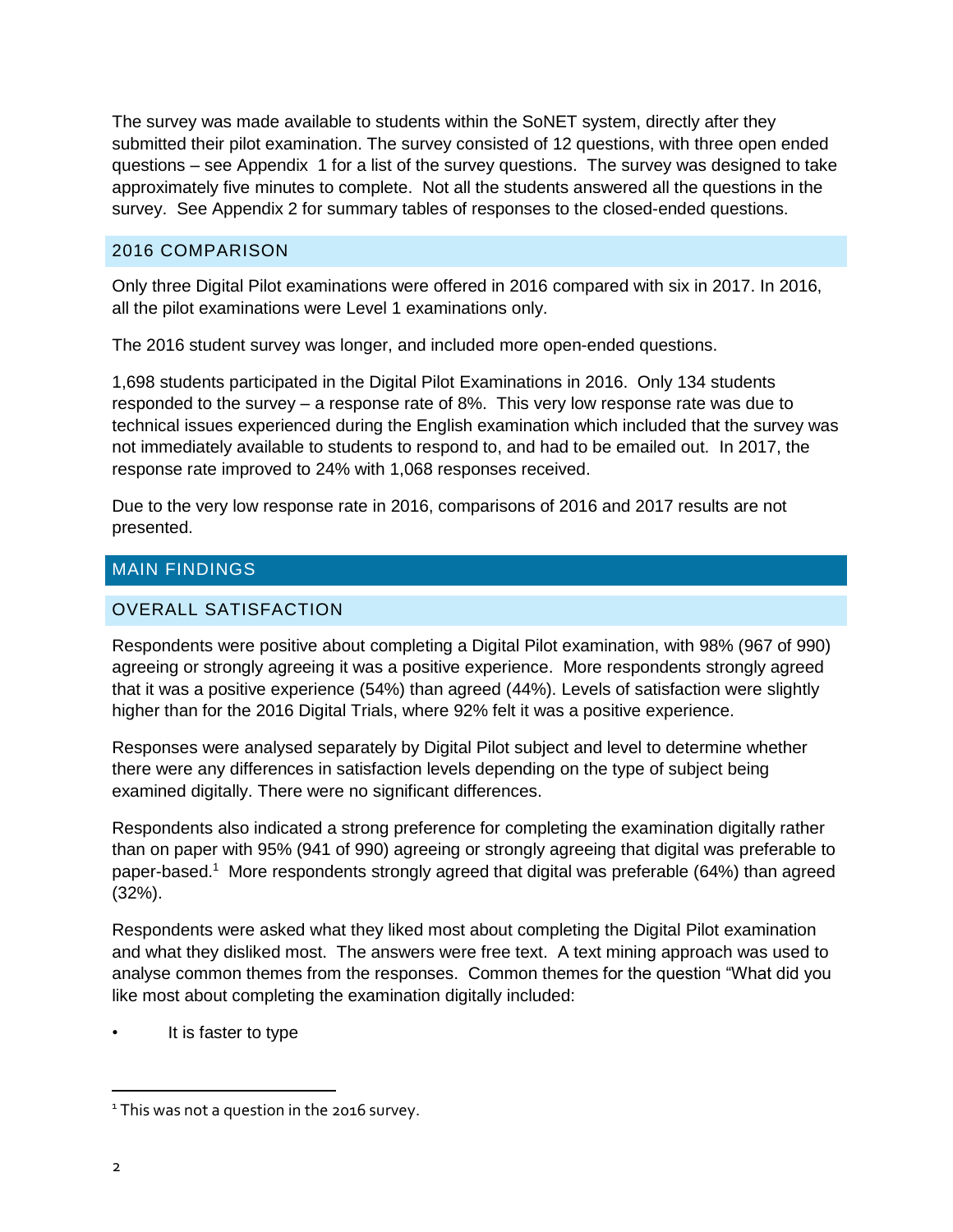The survey was made available to students within the SoNET system, directly after they submitted their pilot examination. The survey consisted of 12 questions, with three open ended questions – see Appendix 1 for a list of the survey questions. The survey was designed to take approximately five minutes to complete. Not all the students answered all the questions in the survey. See Appendix 2 for summary tables of responses to the closed-ended questions.

# 2016 COMPARISON

Only three Digital Pilot examinations were offered in 2016 compared with six in 2017. In 2016, all the pilot examinations were Level 1 examinations only.

The 2016 student survey was longer, and included more open-ended questions.

1,698 students participated in the Digital Pilot Examinations in 2016. Only 134 students responded to the survey – a response rate of 8%. This very low response rate was due to technical issues experienced during the English examination which included that the survey was not immediately available to students to respond to, and had to be emailed out. In 2017, the response rate improved to 24% with 1,068 responses received.

Due to the very low response rate in 2016, comparisons of 2016 and 2017 results are not presented.

# MAIN FINDINGS

# OVERALL SATISFACTION

Respondents were positive about completing a Digital Pilot examination, with 98% (967 of 990) agreeing or strongly agreeing it was a positive experience. More respondents strongly agreed that it was a positive experience (54%) than agreed (44%). Levels of satisfaction were slightly higher than for the 2016 Digital Trials, where 92% felt it was a positive experience.

Responses were analysed separately by Digital Pilot subject and level to determine whether there were any differences in satisfaction levels depending on the type of subject being examined digitally. There were no significant differences.

Respondents also indicated a strong preference for completing the examination digitally rather than on paper with 95% (941 of 990) agreeing or strongly agreeing that digital was preferable to paper-based.<sup>1</sup> More respondents strongly agreed that digital was preferable (64%) than agreed (32%).

Respondents were asked what they liked most about completing the Digital Pilot examination and what they disliked most. The answers were free text. A text mining approach was used to analyse common themes from the responses. Common themes for the question "What did you like most about completing the examination digitally included:

It is faster to type

<sup>&</sup>lt;sup>1</sup> This was not a question in the 2016 survey.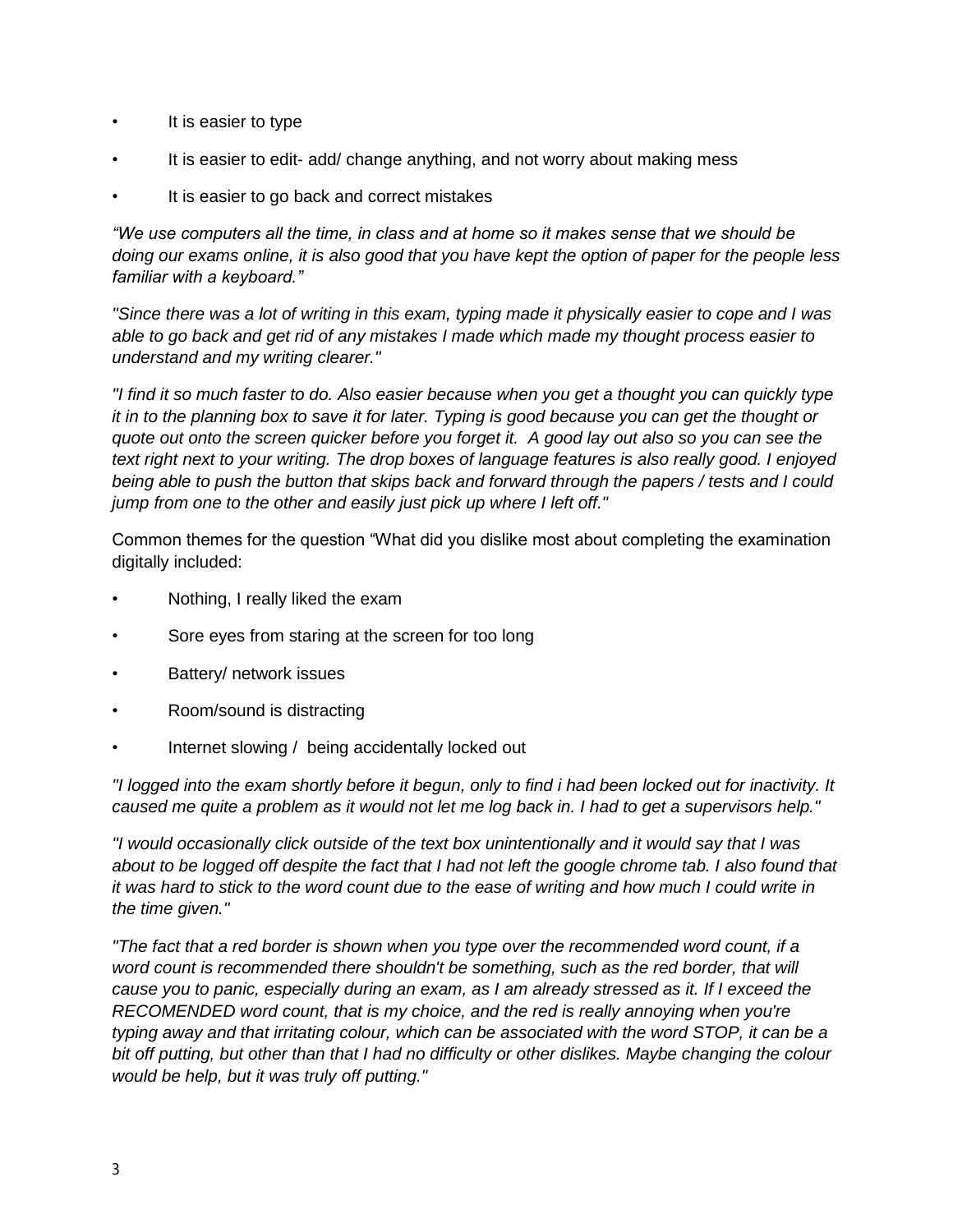- It is easier to type
- It is easier to edit- add/ change anything, and not worry about making mess
- It is easier to go back and correct mistakes

*"We use computers all the time, in class and at home so it makes sense that we should be doing our exams online, it is also good that you have kept the option of paper for the people less familiar with a keyboard."*

*"Since there was a lot of writing in this exam, typing made it physically easier to cope and I was able to go back and get rid of any mistakes I made which made my thought process easier to understand and my writing clearer."*

*"I find it so much faster to do. Also easier because when you get a thought you can quickly type it in to the planning box to save it for later. Typing is good because you can get the thought or quote out onto the screen quicker before you forget it. A good lay out also so you can see the text right next to your writing. The drop boxes of language features is also really good. I enjoyed being able to push the button that skips back and forward through the papers / tests and I could jump from one to the other and easily just pick up where I left off."*

Common themes for the question "What did you dislike most about completing the examination digitally included:

- Nothing, I really liked the exam
- Sore eyes from staring at the screen for too long
- Battery/ network issues
- Room/sound is distracting
- Internet slowing / being accidentally locked out

*"I logged into the exam shortly before it begun, only to find i had been locked out for inactivity. It caused me quite a problem as it would not let me log back in. I had to get a supervisors help."*

*"I would occasionally click outside of the text box unintentionally and it would say that I was about to be logged off despite the fact that I had not left the google chrome tab. I also found that it was hard to stick to the word count due to the ease of writing and how much I could write in the time given."*

*"The fact that a red border is shown when you type over the recommended word count, if a word count is recommended there shouldn't be something, such as the red border, that will cause you to panic, especially during an exam, as I am already stressed as it. If I exceed the RECOMENDED word count, that is my choice, and the red is really annoying when you're typing away and that irritating colour, which can be associated with the word STOP, it can be a bit off putting, but other than that I had no difficulty or other dislikes. Maybe changing the colour would be help, but it was truly off putting."*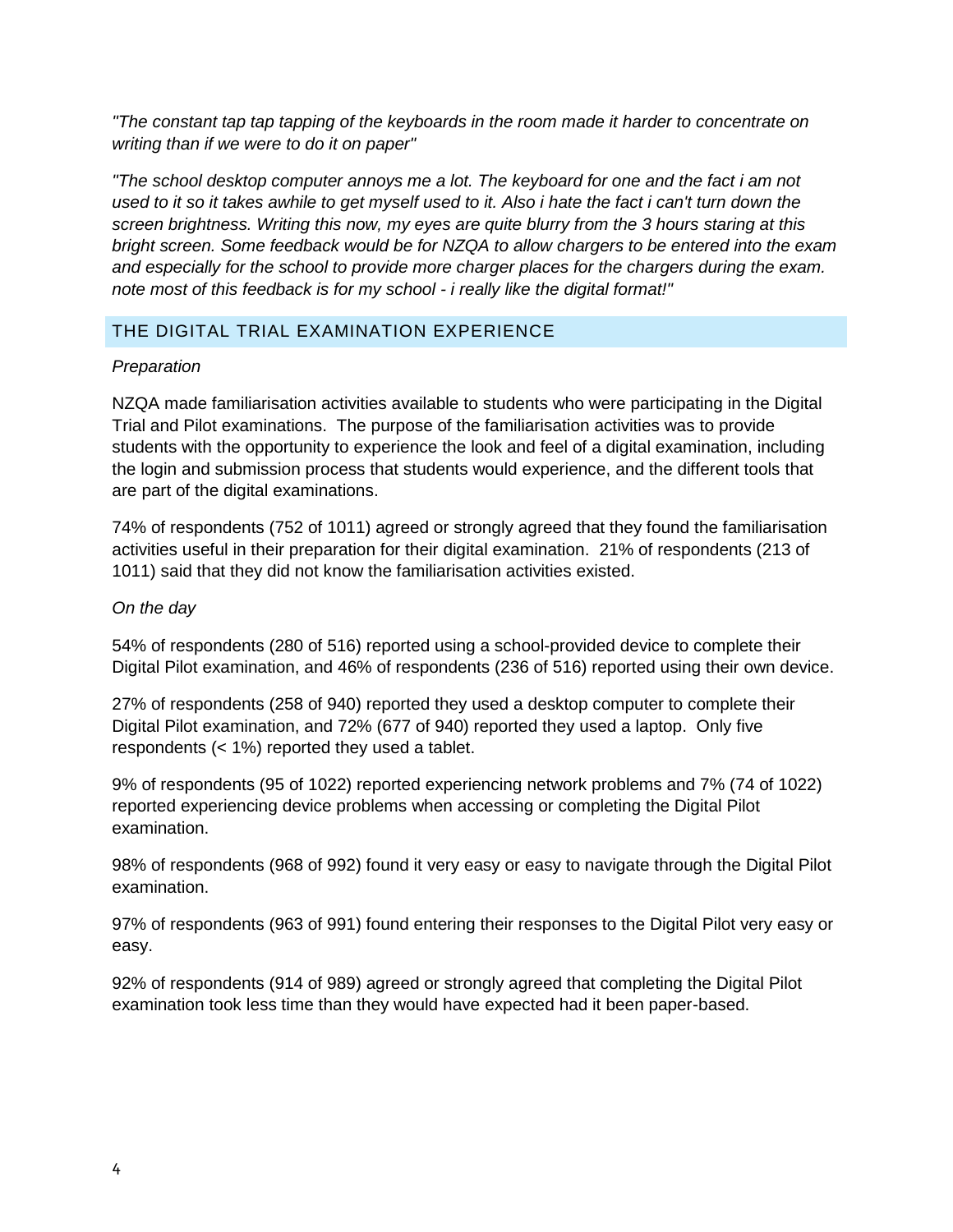*"The constant tap tap tapping of the keyboards in the room made it harder to concentrate on writing than if we were to do it on paper"*

*"The school desktop computer annoys me a lot. The keyboard for one and the fact i am not*  used to it so it takes awhile to get myself used to it. Also i hate the fact *i* can't turn down the *screen brightness. Writing this now, my eyes are quite blurry from the 3 hours staring at this bright screen. Some feedback would be for NZQA to allow chargers to be entered into the exam and especially for the school to provide more charger places for the chargers during the exam. note most of this feedback is for my school - i really like the digital format!"*

# THE DIGITAL TRIAL EXAMINATION EXPERIENCE

#### *Preparation*

NZQA made familiarisation activities available to students who were participating in the Digital Trial and Pilot examinations. The purpose of the familiarisation activities was to provide students with the opportunity to experience the look and feel of a digital examination, including the login and submission process that students would experience, and the different tools that are part of the digital examinations.

74% of respondents (752 of 1011) agreed or strongly agreed that they found the familiarisation activities useful in their preparation for their digital examination. 21% of respondents (213 of 1011) said that they did not know the familiarisation activities existed.

#### *On the day*

54% of respondents (280 of 516) reported using a school-provided device to complete their Digital Pilot examination, and 46% of respondents (236 of 516) reported using their own device.

27% of respondents (258 of 940) reported they used a desktop computer to complete their Digital Pilot examination, and 72% (677 of 940) reported they used a laptop. Only five respondents (< 1%) reported they used a tablet.

9% of respondents (95 of 1022) reported experiencing network problems and 7% (74 of 1022) reported experiencing device problems when accessing or completing the Digital Pilot examination.

98% of respondents (968 of 992) found it very easy or easy to navigate through the Digital Pilot examination.

97% of respondents (963 of 991) found entering their responses to the Digital Pilot very easy or easy.

92% of respondents (914 of 989) agreed or strongly agreed that completing the Digital Pilot examination took less time than they would have expected had it been paper-based.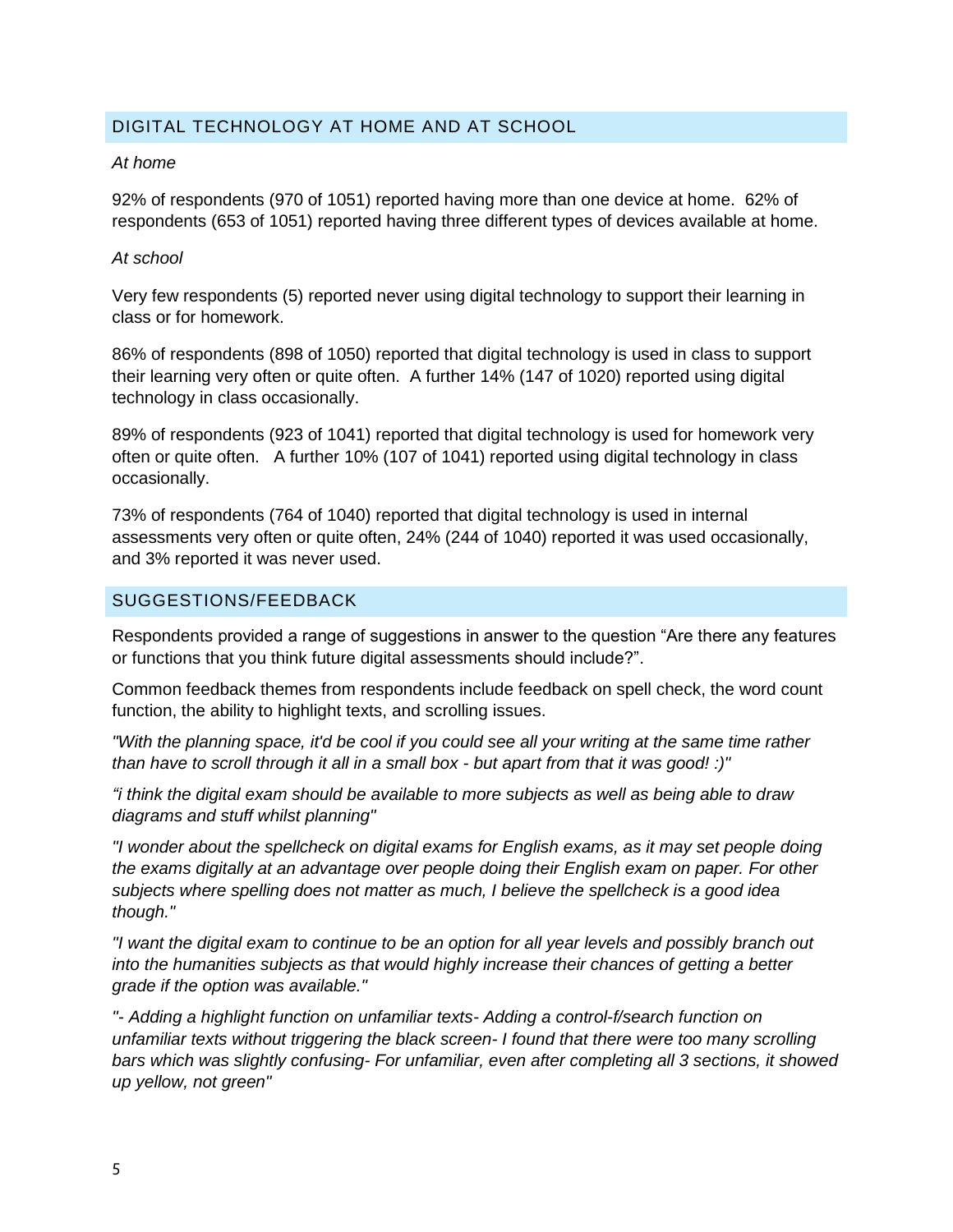# DIGITAL TECHNOLOGY AT HOME AND AT SCHOOL

#### *At home*

92% of respondents (970 of 1051) reported having more than one device at home. 62% of respondents (653 of 1051) reported having three different types of devices available at home.

#### *At school*

Very few respondents (5) reported never using digital technology to support their learning in class or for homework.

86% of respondents (898 of 1050) reported that digital technology is used in class to support their learning very often or quite often. A further 14% (147 of 1020) reported using digital technology in class occasionally.

89% of respondents (923 of 1041) reported that digital technology is used for homework very often or quite often. A further 10% (107 of 1041) reported using digital technology in class occasionally.

73% of respondents (764 of 1040) reported that digital technology is used in internal assessments very often or quite often, 24% (244 of 1040) reported it was used occasionally, and 3% reported it was never used.

#### SUGGESTIONS/FEEDBACK

Respondents provided a range of suggestions in answer to the question "Are there any features or functions that you think future digital assessments should include?".

Common feedback themes from respondents include feedback on spell check, the word count function, the ability to highlight texts, and scrolling issues.

*"With the planning space, it'd be cool if you could see all your writing at the same time rather than have to scroll through it all in a small box - but apart from that it was good! :)"*

*"i think the digital exam should be available to more subjects as well as being able to draw diagrams and stuff whilst planning"*

*"I wonder about the spellcheck on digital exams for English exams, as it may set people doing the exams digitally at an advantage over people doing their English exam on paper. For other subjects where spelling does not matter as much, I believe the spellcheck is a good idea though."*

*"I want the digital exam to continue to be an option for all year levels and possibly branch out into the humanities subjects as that would highly increase their chances of getting a better grade if the option was available."*

*"- Adding a highlight function on unfamiliar texts- Adding a control-f/search function on unfamiliar texts without triggering the black screen- I found that there were too many scrolling bars which was slightly confusing- For unfamiliar, even after completing all 3 sections, it showed up yellow, not green"*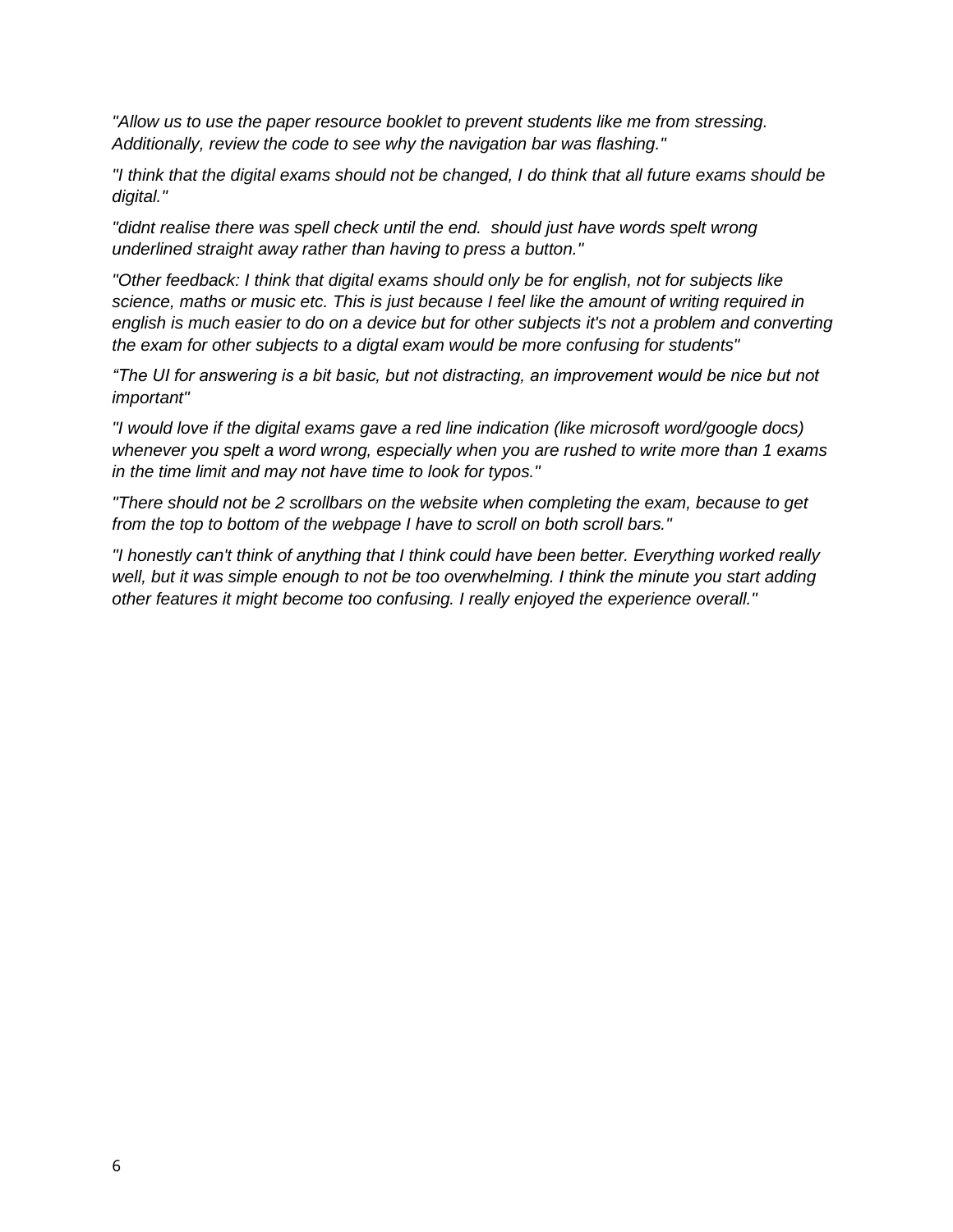*"Allow us to use the paper resource booklet to prevent students like me from stressing. Additionally, review the code to see why the navigation bar was flashing."*

*"I think that the digital exams should not be changed, I do think that all future exams should be digital."*

*"didnt realise there was spell check until the end. should just have words spelt wrong underlined straight away rather than having to press a button."*

*"Other feedback: I think that digital exams should only be for english, not for subjects like science, maths or music etc. This is just because I feel like the amount of writing required in english is much easier to do on a device but for other subjects it's not a problem and converting the exam for other subjects to a digtal exam would be more confusing for students"*

*"The UI for answering is a bit basic, but not distracting, an improvement would be nice but not important"*

*"I would love if the digital exams gave a red line indication (like microsoft word/google docs) whenever you spelt a word wrong, especially when you are rushed to write more than 1 exams in the time limit and may not have time to look for typos."*

*"There should not be 2 scrollbars on the website when completing the exam, because to get from the top to bottom of the webpage I have to scroll on both scroll bars."*

*"I honestly can't think of anything that I think could have been better. Everything worked really well, but it was simple enough to not be too overwhelming. I think the minute you start adding other features it might become too confusing. I really enjoyed the experience overall."*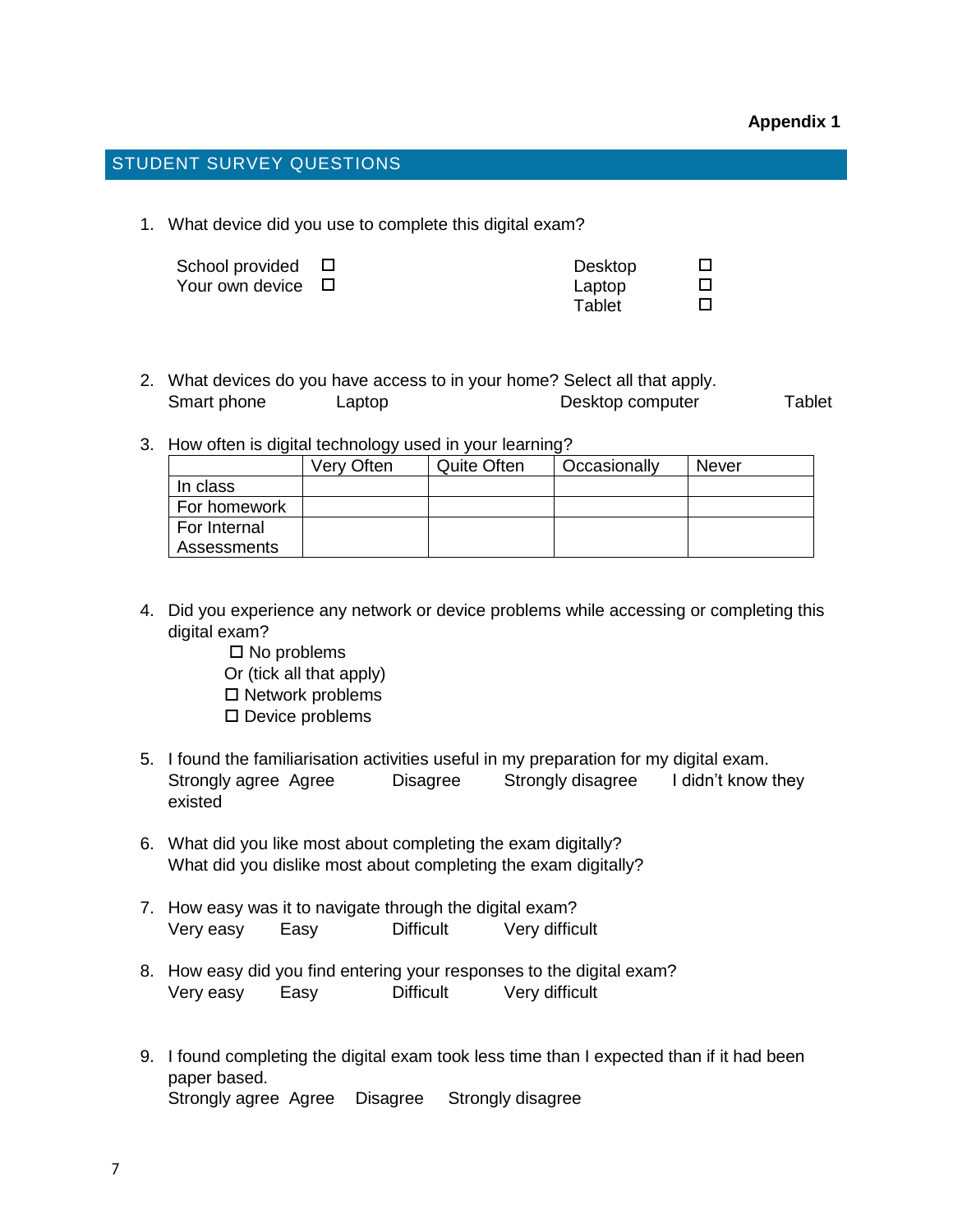# STUDENT SURVEY QUESTIONS

1. What device did you use to complete this digital exam?

| School provided $\Box$ | Desktop |  |
|------------------------|---------|--|
| Your own device □      | Laptop  |  |
|                        | Tablet  |  |

|             | 2. What devices do you have access to in your home? Select all that apply. |                  |        |
|-------------|----------------------------------------------------------------------------|------------------|--------|
| Smart phone | Laptop                                                                     | Desktop computer | Tablet |

3. How often is digital technology used in your learning?

|              | Very Often | <b>Quite Often</b> | Occasionally | <b>Never</b> |
|--------------|------------|--------------------|--------------|--------------|
| In class     |            |                    |              |              |
| For homework |            |                    |              |              |
| For Internal |            |                    |              |              |
| Assessments  |            |                    |              |              |

- 4. Did you experience any network or device problems while accessing or completing this digital exam?
	- $\square$  No problems
	- Or (tick all that apply)
	- $\square$  Network problems
	- $\square$  Device problems
- 5. I found the familiarisation activities useful in my preparation for my digital exam. Strongly agree Agree Disagree Strongly disagree I didn't know they existed
- 6. What did you like most about completing the exam digitally? What did you dislike most about completing the exam digitally?
- 7. How easy was it to navigate through the digital exam? Very easy Easy Difficult Very difficult
- 8. How easy did you find entering your responses to the digital exam? Very easy Easy Difficult Very difficult
- 9. I found completing the digital exam took less time than I expected than if it had been paper based. Strongly agree Agree Disagree Strongly disagree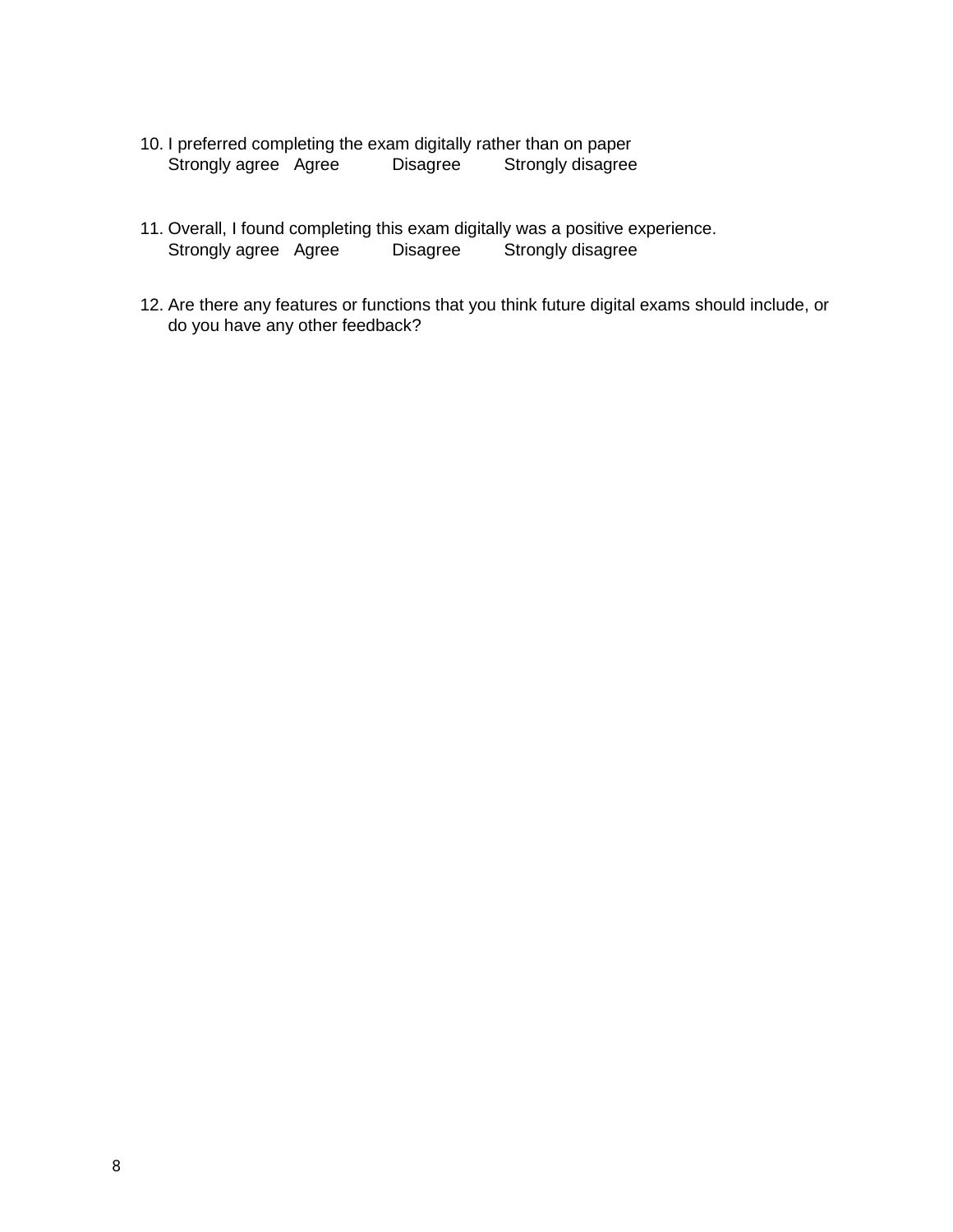- 10. I preferred completing the exam digitally rather than on paper<br>Strongly agree Agree Disagree Strongly disagree Strongly agree Agree Disagree Strongly disagree
- 11. Overall, I found completing this exam digitally was a positive experience. Strongly agree Agree Disagree Strongly disagree
- 12. Are there any features or functions that you think future digital exams should include, or do you have any other feedback?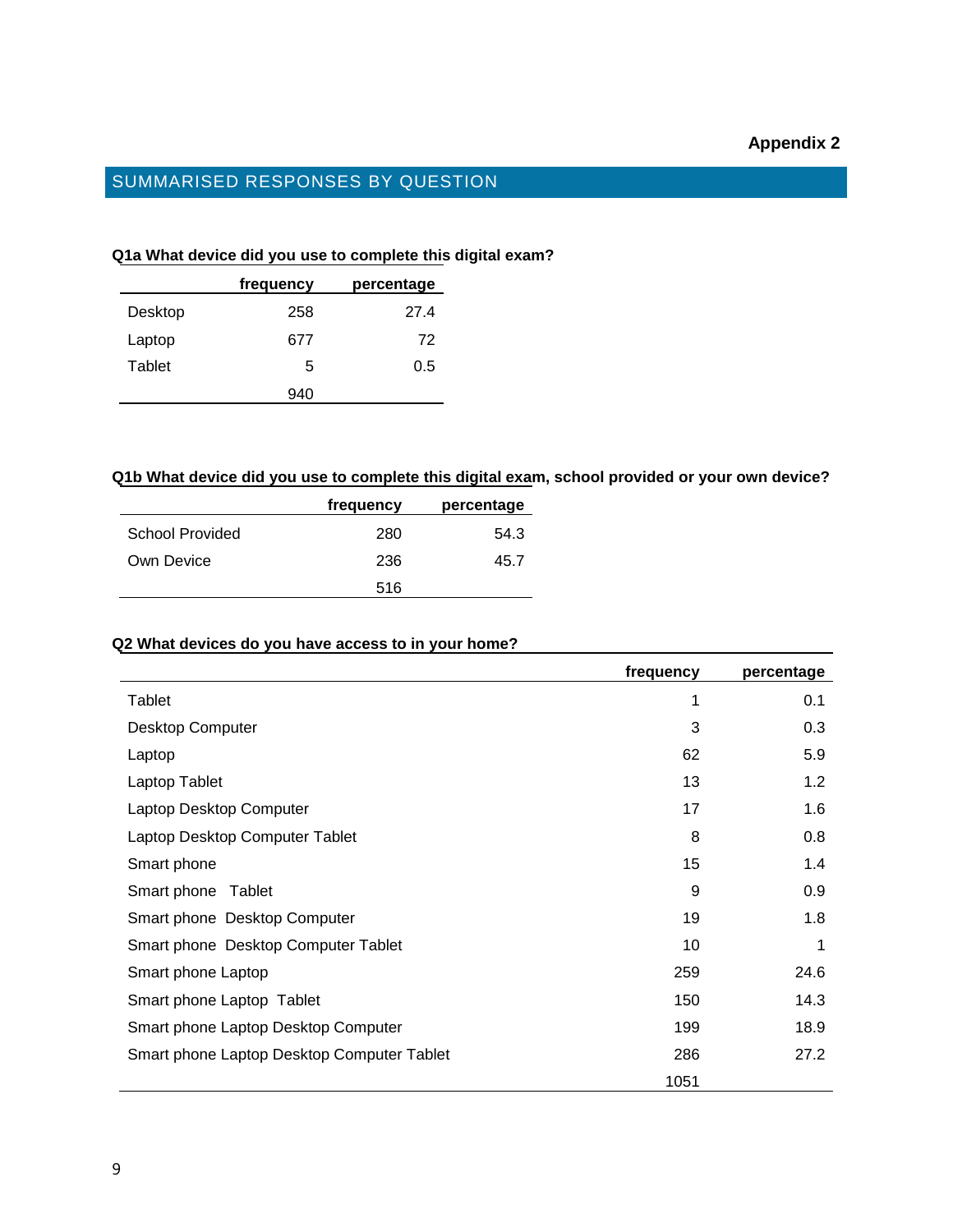# **Appendix 2**

# SUMMARISED RESPONSES BY QUESTION

#### **Q1a What device did you use to complete this digital exam?**

|         | frequency | percentage |
|---------|-----------|------------|
| Desktop | 258       | 27.4       |
| Laptop  | 677       | 72         |
| Tablet  | 5         | 0.5        |
|         | 940       |            |

# **Q1b What device did you use to complete this digital exam, school provided or your own device?**

|                 | frequency | percentage |
|-----------------|-----------|------------|
| School Provided | 280       | 54.3       |
| Own Device      | 236       | 45.7       |
|                 | 516       |            |

# **Q2 What devices do you have access to in your home?**

|                                            | frequency | percentage |
|--------------------------------------------|-----------|------------|
| Tablet                                     | 1         | 0.1        |
| Desktop Computer                           | 3         | 0.3        |
| Laptop                                     | 62        | 5.9        |
| Laptop Tablet                              | 13        | 1.2        |
| Laptop Desktop Computer                    | 17        | 1.6        |
| Laptop Desktop Computer Tablet             | 8         | 0.8        |
| Smart phone                                | 15        | 1.4        |
| Smart phone<br>Tablet                      | 9         | 0.9        |
| Smart phone Desktop Computer               | 19        | 1.8        |
| Smart phone Desktop Computer Tablet        | 10        | 1          |
| Smart phone Laptop                         | 259       | 24.6       |
| Smart phone Laptop Tablet                  | 150       | 14.3       |
| Smart phone Laptop Desktop Computer        | 199       | 18.9       |
| Smart phone Laptop Desktop Computer Tablet | 286       | 27.2       |
|                                            | 1051      |            |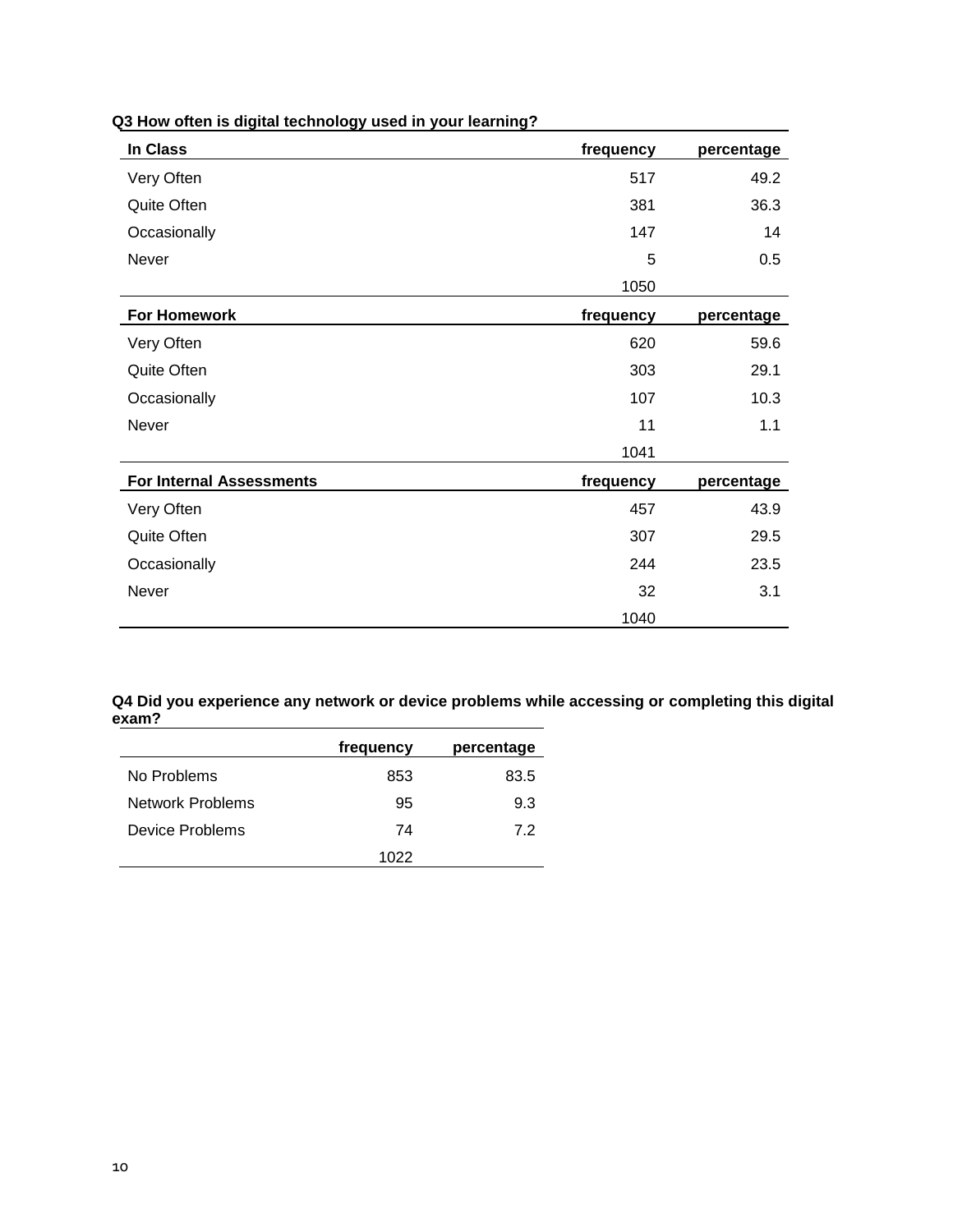| <b>In Class</b>                 | frequency | percentage |
|---------------------------------|-----------|------------|
| Very Often                      | 517       | 49.2       |
| Quite Often                     | 381       | 36.3       |
| Occasionally                    | 147       | 14         |
| Never                           | 5         | 0.5        |
|                                 | 1050      |            |
| <b>For Homework</b>             | frequency | percentage |
| Very Often                      | 620       | 59.6       |
| Quite Often                     | 303       | 29.1       |
| Occasionally                    | 107       | 10.3       |
| Never                           | 11        | 1.1        |
|                                 | 1041      |            |
| <b>For Internal Assessments</b> | frequency | percentage |
| Very Often                      | 457       | 43.9       |
| Quite Often                     | 307       | 29.5       |
| Occasionally                    | 244       | 23.5       |
| Never                           | 32        | 3.1        |
|                                 | 1040      |            |

# **Q3 How often is digital technology used in your learning?**

**Q4 Did you experience any network or device problems while accessing or completing this digital exam?**

|                  | frequency | percentage |
|------------------|-----------|------------|
| No Problems      | 853       | 83.5       |
| Network Problems | 95        | 93         |
| Device Problems  | 74        | 7.2        |
|                  | 1022      |            |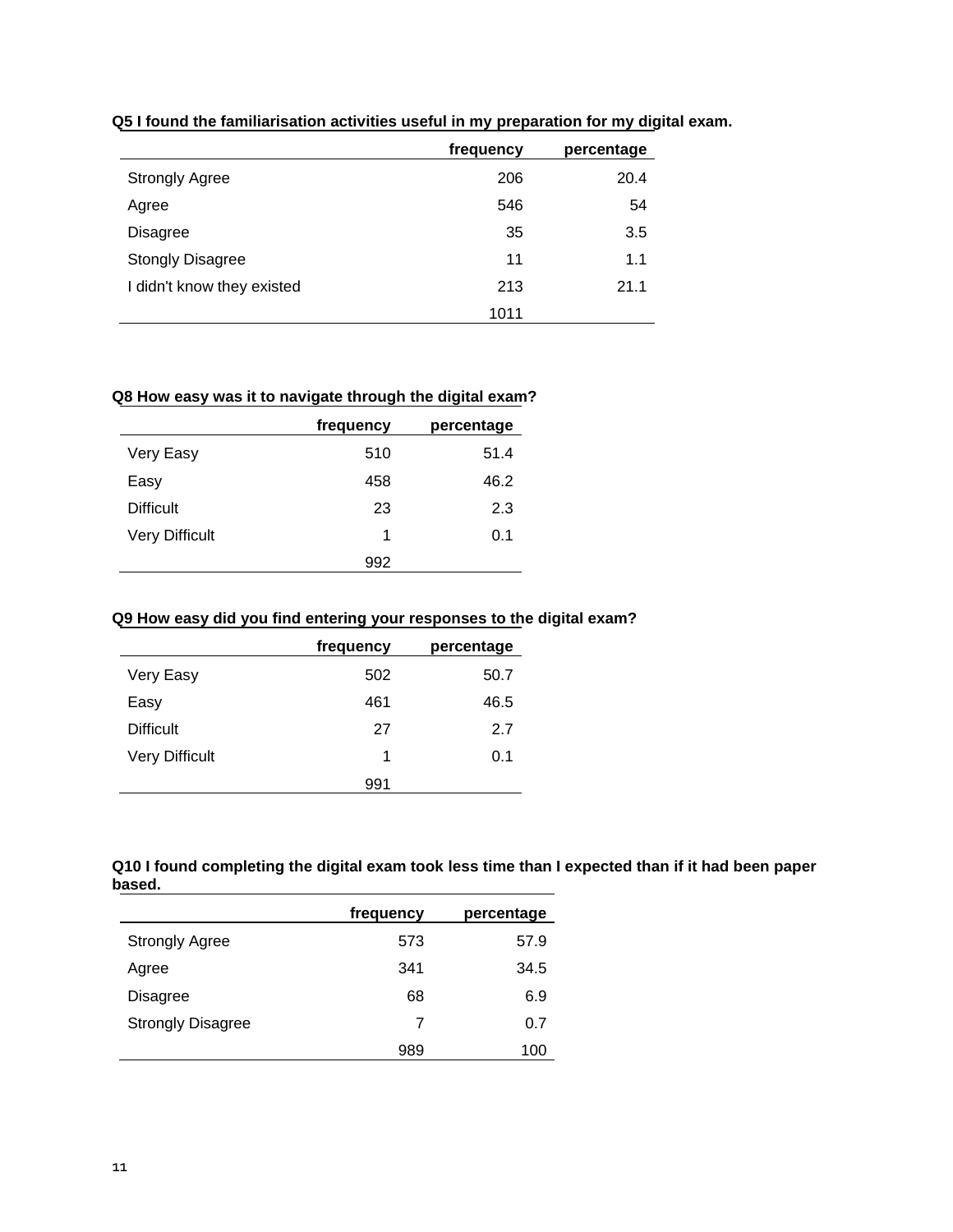|                            | frequency | percentage |
|----------------------------|-----------|------------|
| <b>Strongly Agree</b>      | 206       | 20.4       |
| Agree                      | 546       | 54         |
| <b>Disagree</b>            | 35        | 3.5        |
| <b>Stongly Disagree</b>    | 11        | 1.1        |
| I didn't know they existed | 213       | 21.1       |
|                            | 1011      |            |

**Q5 I found the familiarisation activities useful in my preparation for my digital exam.**

# **Q8 How easy was it to navigate through the digital exam?**

|                       | frequency | percentage |
|-----------------------|-----------|------------|
| Very Easy             | 510       | 51.4       |
| Easy                  | 458       | 46.2       |
| <b>Difficult</b>      | 23        | 2.3        |
| <b>Very Difficult</b> | 1         | 0.1        |
|                       | 992       |            |

#### **Q9 How easy did you find entering your responses to the digital exam?**

|                       | frequency | percentage |
|-----------------------|-----------|------------|
| Very Easy             | 502       | 50.7       |
| Easy                  | 461       | 46.5       |
| <b>Difficult</b>      | 27        | 2.7        |
| <b>Very Difficult</b> | 1         | 0.1        |
|                       | 991       |            |

**Q10 I found completing the digital exam took less time than I expected than if it had been paper based.**

|                          | frequency | percentage |
|--------------------------|-----------|------------|
| <b>Strongly Agree</b>    | 573       | 57.9       |
| Agree                    | 341       | 34.5       |
| Disagree                 | 68        | 6.9        |
| <b>Strongly Disagree</b> | 7         | 0.7        |
|                          | 989       | 100        |